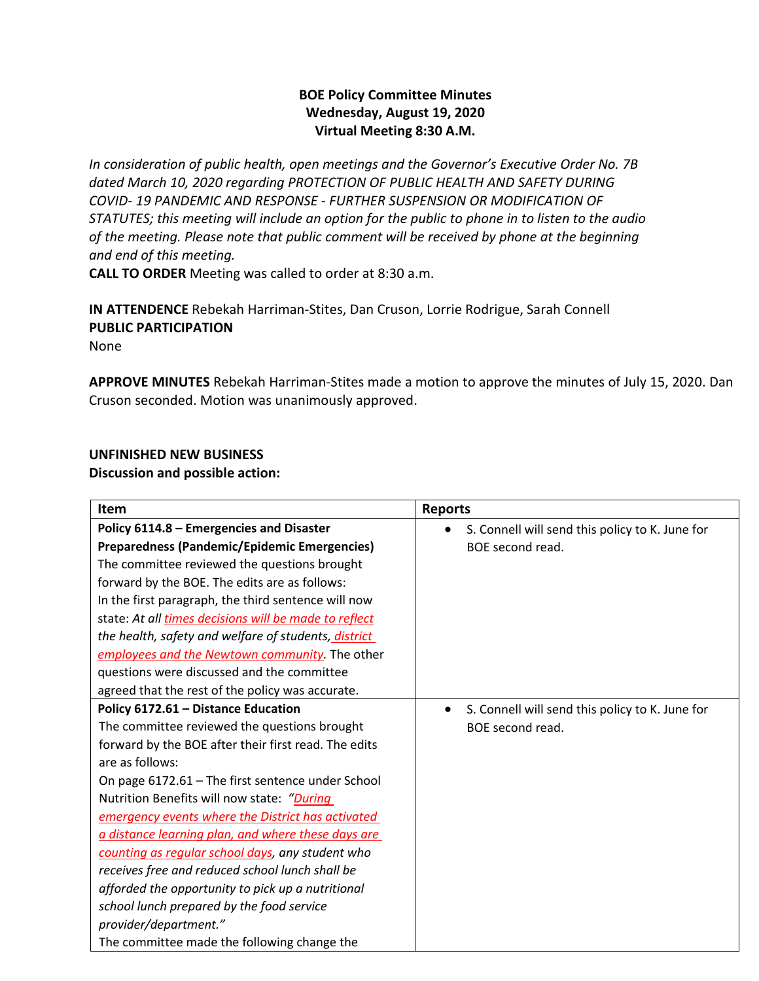## **BOE Policy Committee Minutes Wednesday, August 19, 2020 Virtual Meeting 8:30 A.M.**

*In consideration of public health, open meetings and the Governor's Executive Order No. 7B dated March 10, 2020 regarding PROTECTION OF PUBLIC HEALTH AND SAFETY DURING COVID- 19 PANDEMIC AND RESPONSE - FURTHER SUSPENSION OR MODIFICATION OF STATUTES; this meeting will include an option for the public to phone in to listen to the audio of the meeting. Please note that public comment will be received by phone at the beginning and end of this meeting.*

**CALL TO ORDER** Meeting was called to order at 8:30 a.m.

**IN ATTENDENCE** Rebekah Harriman-Stites, Dan Cruson, Lorrie Rodrigue, Sarah Connell **PUBLIC PARTICIPATION** 

None

**APPROVE MINUTES** Rebekah Harriman-Stites made a motion to approve the minutes of July 15, 2020. Dan Cruson seconded. Motion was unanimously approved.

## **UNFINISHED NEW BUSINESS**

**Discussion and possible action:**

| Item                                                  | <b>Reports</b>                                  |
|-------------------------------------------------------|-------------------------------------------------|
| Policy 6114.8 - Emergencies and Disaster              | S. Connell will send this policy to K. June for |
| Preparedness (Pandemic/Epidemic Emergencies)          | BOE second read.                                |
| The committee reviewed the questions brought          |                                                 |
| forward by the BOE. The edits are as follows:         |                                                 |
| In the first paragraph, the third sentence will now   |                                                 |
| state: At all times decisions will be made to reflect |                                                 |
| the health, safety and welfare of students, district  |                                                 |
| employees and the Newtown community. The other        |                                                 |
| questions were discussed and the committee            |                                                 |
| agreed that the rest of the policy was accurate.      |                                                 |
| Policy 6172.61 - Distance Education                   | S. Connell will send this policy to K. June for |
| The committee reviewed the questions brought          | BOE second read.                                |
| forward by the BOE after their first read. The edits  |                                                 |
| are as follows:                                       |                                                 |
| On page 6172.61 - The first sentence under School     |                                                 |
| Nutrition Benefits will now state: "During            |                                                 |
| emergency events where the District has activated     |                                                 |
| a distance learning plan, and where these days are    |                                                 |
| counting as regular school days, any student who      |                                                 |
| receives free and reduced school lunch shall be       |                                                 |
| afforded the opportunity to pick up a nutritional     |                                                 |
| school lunch prepared by the food service             |                                                 |
| provider/department."                                 |                                                 |
| The committee made the following change the           |                                                 |